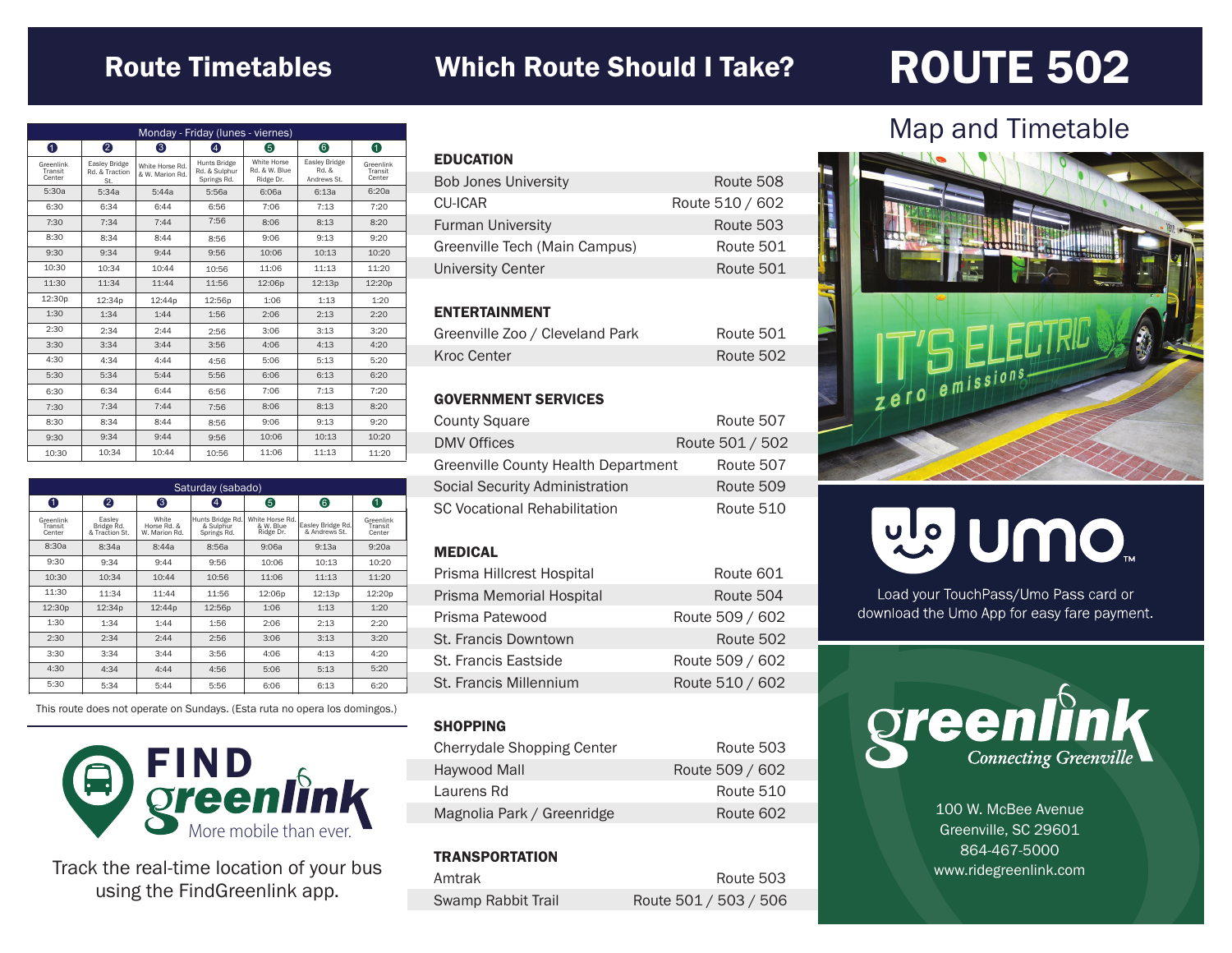#### Route Timetables Which Route Should I Take?

## ROUTE 502

| Monday - Friday (lunes - viernes) |                                               |                                    |                                                     |                                           |                                       |                                |
|-----------------------------------|-----------------------------------------------|------------------------------------|-----------------------------------------------------|-------------------------------------------|---------------------------------------|--------------------------------|
| $\bullet$                         | 2                                             | 6                                  | $\boldsymbol{A}$                                    | 6                                         | 6                                     | 0                              |
| Greenlink<br>Transit<br>Center    | <b>Easley Bridge</b><br>Rd. & Traction<br>St. | White Horse Rd.<br>& W. Marion Rd. | <b>Hunts Bridge</b><br>Rd. & Sulphur<br>Springs Rd. | White Horse<br>Rd. & W. Blue<br>Ridge Dr. | Easley Bridge<br>Rd. &<br>Andrews St. | Greenlink<br>Transit<br>Center |
| 5:30a                             | 5:34a                                         | 5:44a                              | 5:56a                                               | 6:06a                                     | 6:13a                                 | 6:20a                          |
| 6:30                              | 6:34                                          | 6:44                               | 6:56                                                | 7:06                                      | 7:13                                  | 7:20                           |
| 7:30                              | 7:34                                          | 7:44                               | 7:56                                                | 8:06                                      | 8:13                                  | 8:20                           |
| 8:30                              | 8:34                                          | 8:44                               | 8:56                                                | 9:06                                      | 9:13                                  | 9:20                           |
| 9:30                              | 9:34                                          | 9:44                               | 9:56                                                | 10:06                                     | 10:13                                 | 10:20                          |
| 10:30                             | 10:34                                         | 10:44                              | 10:56                                               | 11:06                                     | 11:13                                 | 11:20                          |
| 11:30                             | 11:34                                         | 11:44                              | 11:56                                               | 12:06p                                    | 12:13p                                | 12:20p                         |
| 12:30p                            | 12:34p                                        | 12:44p                             | 12:56p                                              | 1:06                                      | 1:13                                  | 1:20                           |
| 1:30                              | 1:34                                          | 1:44                               | 1:56                                                | 2:06                                      | 2:13                                  | 2:20                           |
| 2:30                              | 2:34                                          | 2:44                               | 2:56                                                | 3:06                                      | 3:13                                  | 3:20                           |
| 3:30                              | 3:34                                          | 3:44                               | 3:56                                                | 4:06                                      | 4:13                                  | 4:20                           |
| 4:30                              | 4:34                                          | 4:44                               | 4:56                                                | 5:06                                      | 5:13                                  | 5:20                           |
| 5:30                              | 5:34                                          | 5:44                               | 5:56                                                | 6:06                                      | 6:13                                  | 6:20                           |
| 6:30                              | 6:34                                          | 6:44                               | 6:56                                                | 7:06                                      | 7:13                                  | 7:20                           |
| 7:30                              | 7:34                                          | 7:44                               | 7:56                                                | 8:06                                      | 8:13                                  | 8:20                           |
| 8:30                              | 8:34                                          | 8:44                               | 8:56                                                | 9:06                                      | 9:13                                  | 9:20                           |
| 9:30                              | 9:34                                          | 9:44                               | 9:56                                                | 10:06                                     | 10:13                                 | 10:20                          |
| 10:30                             | 10:34                                         | 10:44                              | 10:56                                               | 11:06                                     | 11:13                                 | 11:20                          |

| Saturday (sabado)              |                                        |                                       |                                              |                                           |                                    |                                |
|--------------------------------|----------------------------------------|---------------------------------------|----------------------------------------------|-------------------------------------------|------------------------------------|--------------------------------|
| 0                              | 2                                      | ❸                                     | $\left[4\right]$                             | 6                                         | 6                                  | 0                              |
| Greenlink<br>Transit<br>Center | Easlev<br>Bridge Rd.<br>& Traction St. | White<br>Horse Rd, &<br>W. Marion Rd. | Hunts Bridge Rd.<br>& Sulphur<br>Springs Rd. | White Horse Rd.<br>& W. Blue<br>Ridge Dr. | Easley Bridge Rd.<br>& Andrews St. | Greenlink<br>Transit<br>Center |
| 8:30a                          | 8:34a                                  | 8:44a                                 | 8:56a                                        | 9:06a                                     | 9:13a                              | 9:20a                          |
| 9:30                           | 9:34                                   | 9:44                                  | 9:56                                         | 10:06                                     | 10:13                              | 10:20                          |
| 10:30                          | 10:34                                  | 10:44                                 | 10:56                                        | 11:06                                     | 11:13                              | 11:20                          |
| 11:30                          | 11:34                                  | 11:44                                 | 11:56                                        | 12:06p                                    | 12:13p                             | 12:20 <sub>p</sub>             |
| 12:30p                         | 12:34p                                 | 12:44p                                | 12:56p                                       | 1:06                                      | 1:13                               | 1:20                           |
| 1:30                           | 1:34                                   | 1:44                                  | 1:56                                         | 2:06                                      | 2:13                               | 2:20                           |
| 2:30                           | 2:34                                   | 2:44                                  | 2:56                                         | 3:06                                      | 3:13                               | 3:20                           |
| 3:30                           | 3:34                                   | 3:44                                  | 3:56                                         | 4:06                                      | 4:13                               | 4:20                           |
| 4:30                           | 4:34                                   | 4:44                                  | 4:56                                         | 5:06                                      | 5:13                               | 5:20                           |
| 5:30                           | 5:34                                   | 5:44                                  | 5:56                                         | 6:06                                      | 6:13                               | 6:20                           |

This route does not operate on Sundays. (Esta ruta no opera los domingos.)



Track the real-time location of your bus using the FindGreenlink app.

| <b>EDUCATION</b>              |                 |
|-------------------------------|-----------------|
| <b>Bob Jones University</b>   | Route 508       |
| CU-ICAR                       | Route 510 / 602 |
| <b>Furman University</b>      | Route 503       |
| Greenville Tech (Main Campus) | Route 501       |
| University Center             | Route 501       |
|                               |                 |

#### ENTERTAINMENT

| Greenville Zoo / Cleveland Park | Route 501 |
|---------------------------------|-----------|
| Kroc Center                     | Route 502 |

#### GOVERNMENT SERVICES

| <b>County Square</b>                  | Route 507       |
|---------------------------------------|-----------------|
| <b>DMV Offices</b>                    | Route 501 / 502 |
| Greenville County Health Department   | Route 507       |
| <b>Social Security Administration</b> | Route 509       |
| <b>SC Vocational Rehabilitation</b>   | Route 510       |

#### MEDICAL

| Prisma Hillcrest Hospital | Route 601       |
|---------------------------|-----------------|
| Prisma Memorial Hospital  | Route 504       |
| Prisma Patewood           | Route 509 / 602 |
| St. Francis Downtown      | Route 502       |
| St. Francis Eastside      | Route 509 / 602 |
| St. Francis Millennium    | Route 510 / 602 |

#### **SHOPPING**

| Cherrydale Shopping Center | Route 503       |
|----------------------------|-----------------|
| Haywood Mall               | Route 509 / 602 |
| Laurens Rd                 | Route 510       |
| Magnolia Park / Greenridge | Route 602       |

#### **TRANSPORTATION**

| Amtrak             | Route 503             |
|--------------------|-----------------------|
| Swamp Rabbit Trail | Route 501 / 503 / 506 |

### Map and Timetable



# mo nulle

Load your TouchPass/Umo Pass card or download the Umo App for easy fare payment.



100 W. McBee Avenue Greenville, SC 29601 864-467-5000 www.ridegreenlink.com